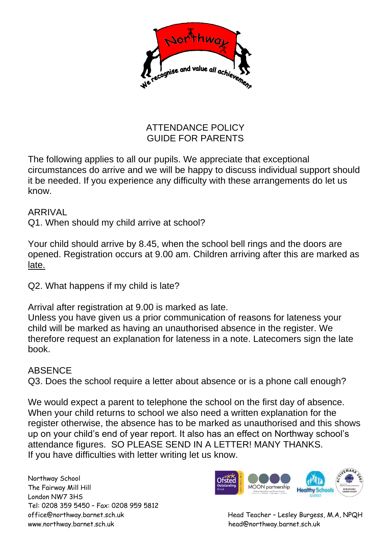

## ATTENDANCE POLICY GUIDE FOR PARENTS

The following applies to all our pupils. We appreciate that exceptional circumstances do arrive and we will be happy to discuss individual support should it be needed. If you experience any difficulty with these arrangements do let us know.

## ARRIVAL

Q1. When should my child arrive at school?

Your child should arrive by 8.45, when the school bell rings and the doors are opened. Registration occurs at 9.00 am. Children arriving after this are marked as late.

Q2. What happens if my child is late?

Arrival after registration at 9.00 is marked as late.

Unless you have given us a prior communication of reasons for lateness your child will be marked as having an unauthorised absence in the register. We therefore request an explanation for lateness in a note. Latecomers sign the late book.

## ABSENCE

Q3. Does the school require a letter about absence or is a phone call enough?

We would expect a parent to telephone the school on the first day of absence. When your child returns to school we also need a written explanation for the register otherwise, the absence has to be marked as unauthorised and this shows up on your child's end of year report. It also has an effect on Northway school's attendance figures. SO PLEASE SEND IN A LETTER! MANY THANKS. If you have difficulties with letter writing let us know.

Northway School The Fairway Mill Hill London NW7 3HS Tel: 0208 359 5450 – Fax: 0208 959 5812 www.northway.barnet.sch.uk head@northway.barnet.sch.uk



office@northway.barnet.sch.uk Head Teacher – Lesley Burgess, M.A, NPQH